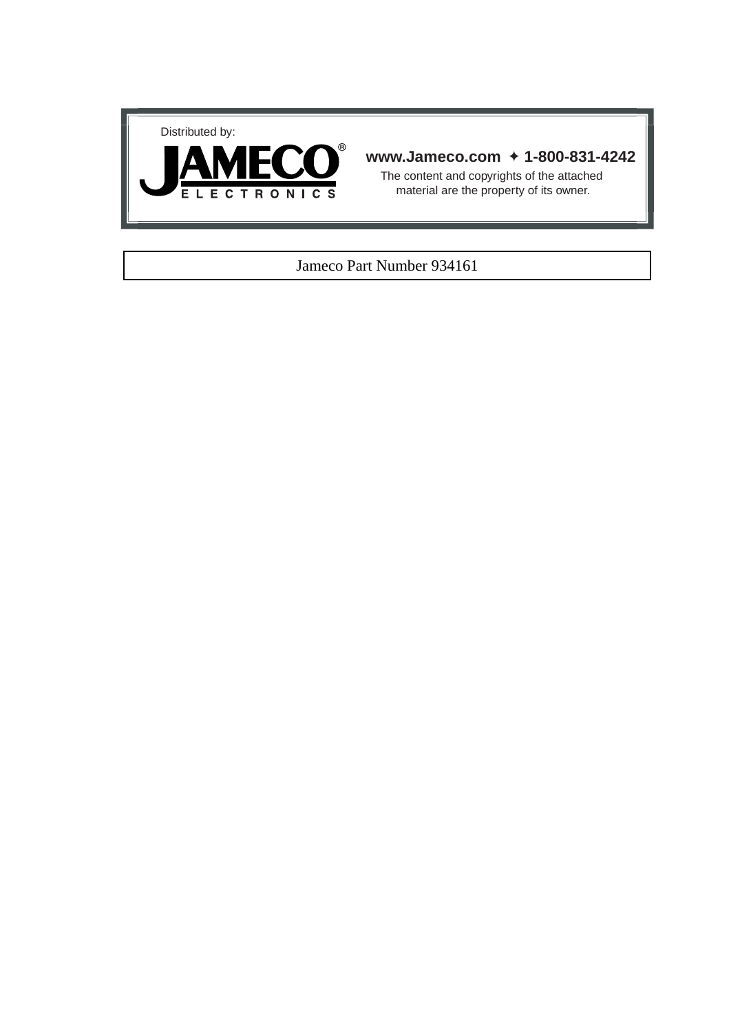



# **www.Jameco.com** ✦ **1-800-831-4242**

The content and copyrights of the attached material are the property of its owner.

## Jameco Part Number 934161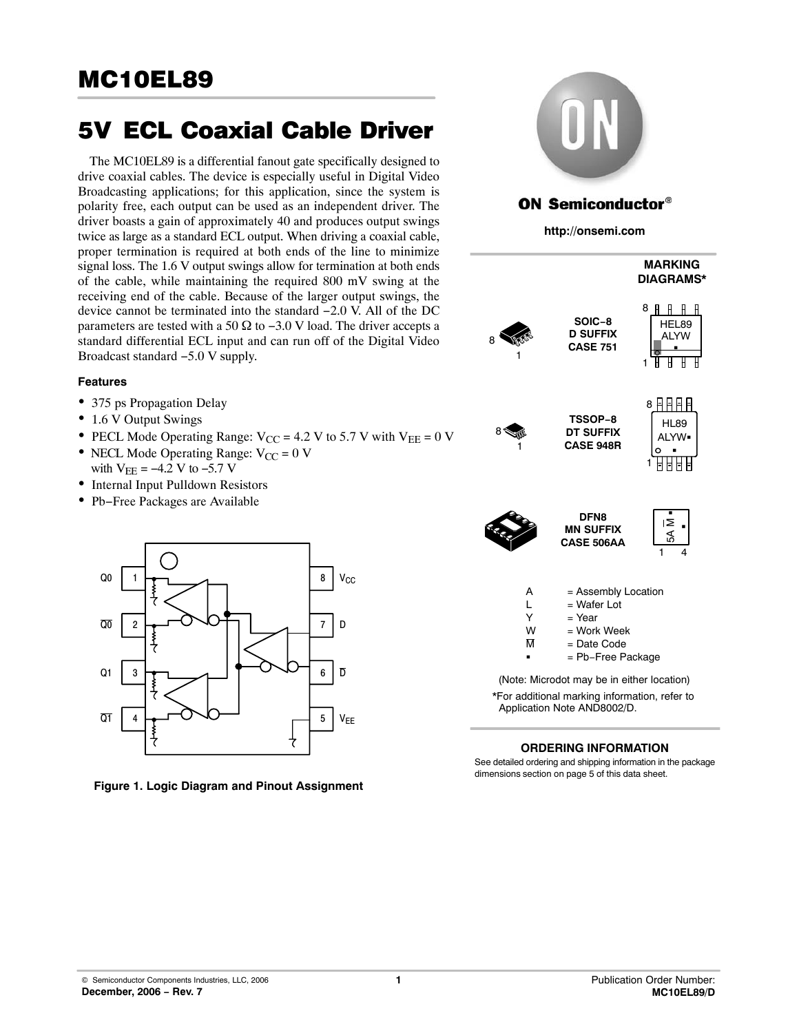# 5V-ECL Coaxial Cable Driver

The MC10EL89 is a differential fanout gate specifically designed to drive coaxial cables. The device is especially useful in Digital Video Broadcasting applications; for this application, since the system is polarity free, each output can be used as an independent driver. The driver boasts a gain of approximately 40 and produces output swings twice as large as a standard ECL output. When driving a coaxial cable, proper termination is required at both ends of the line to minimize signal loss. The 1.6 V output swings allow for termination at both ends of the cable, while maintaining the required 800 mV swing at the receiving end of the cable. Because of the larger output swings, the device cannot be terminated into the standard −2.0 V. All of the DC parameters are tested with a 50  $\Omega$  to -3.0 V load. The driver accepts a standard differential ECL input and can run off of the Digital Video Broadcast standard −5.0 V supply.

#### **Features**

- 375 ps Propagation Delay
- 1.6 V Output Swings
- PECL Mode Operating Range:  $V_{CC}$  = 4.2 V to 5.7 V with  $V_{EE}$  = 0 V
- NECL Mode Operating Range:  $V_{CC} = 0$  V with  $V_{EE} = -4.2$  V to  $-5.7$  V
- Internal Input Pulldown Resistors
- Pb−Free Packages are Available



**Figure 1. Logic Diagram and Pinout Assignment**



See detailed ordering and shipping information in the package dimensions section on page [5 of this data sheet.](#page-5-0)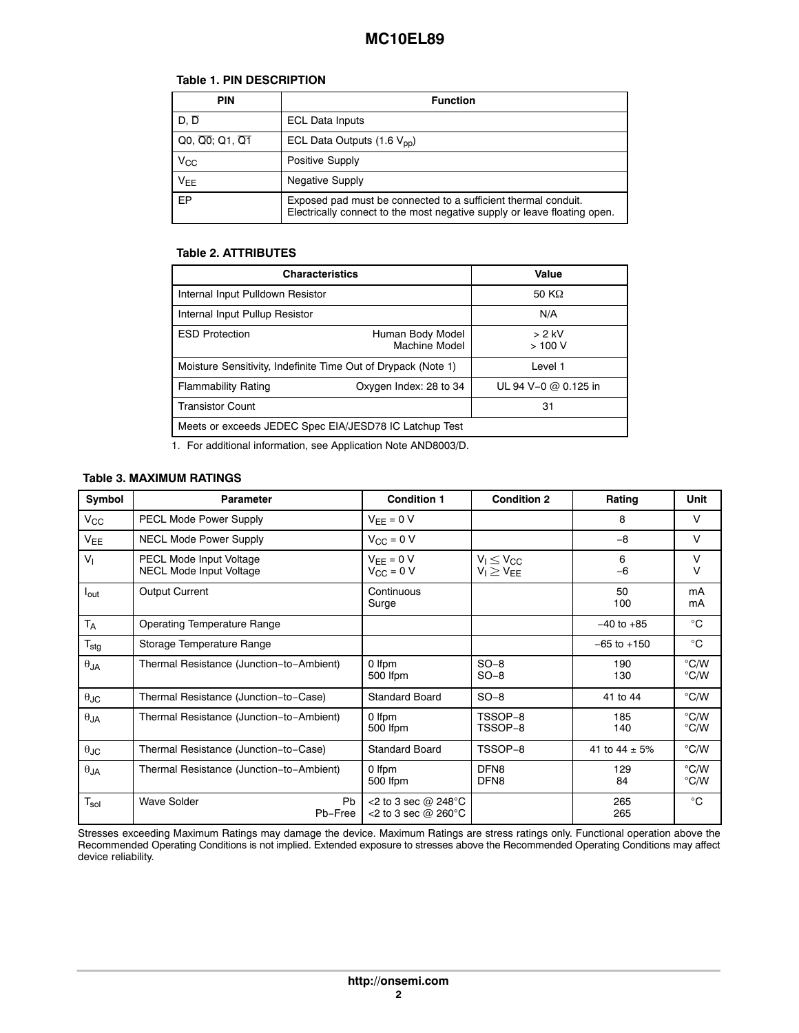### **Table 1. PIN DESCRIPTION**

| <b>PIN</b>                        | <b>Function</b>                                                                                                                            |  |  |  |  |  |
|-----------------------------------|--------------------------------------------------------------------------------------------------------------------------------------------|--|--|--|--|--|
| $D. \overline{D}$                 | <b>ECL Data Inputs</b>                                                                                                                     |  |  |  |  |  |
| $Q_0$ , $\overline{Q_0}$ ; Q1, Q1 | ECL Data Outputs $(1.6 V_{\text{nn}})$                                                                                                     |  |  |  |  |  |
| $V_{CC}$                          | Positive Supply                                                                                                                            |  |  |  |  |  |
| <b>VEE</b>                        | <b>Negative Supply</b>                                                                                                                     |  |  |  |  |  |
| EP                                | Exposed pad must be connected to a sufficient thermal conduit.<br>Electrically connect to the most negative supply or leave floating open. |  |  |  |  |  |

#### **Table 2. ATTRIBUTES**

| <b>Characteristics</b>                                        | Value                             |                      |  |  |  |  |
|---------------------------------------------------------------|-----------------------------------|----------------------|--|--|--|--|
| Internal Input Pulldown Resistor                              | 50 K $\Omega$                     |                      |  |  |  |  |
| Internal Input Pullup Resistor                                | N/A                               |                      |  |  |  |  |
| <b>ESD Protection</b>                                         | Human Body Model<br>Machine Model | $> 2$ kV<br>>100V    |  |  |  |  |
| Moisture Sensitivity, Indefinite Time Out of Drypack (Note 1) |                                   | Level 1              |  |  |  |  |
| <b>Flammability Rating</b>                                    | Oxygen Index: 28 to 34            | UL 94 V-0 @ 0.125 in |  |  |  |  |
| <b>Transistor Count</b>                                       | 31                                |                      |  |  |  |  |
| Meets or exceeds JEDEC Spec EIA/JESD78 IC Latchup Test        |                                   |                      |  |  |  |  |

1. For additional information, see Application Note AND8003/D.

#### **Table 3. MAXIMUM RATINGS**

| Symbol                      | <b>Parameter</b>                                          | <b>Condition 1</b>                           | <b>Condition 2</b>                     | Rating             | Unit                           |
|-----------------------------|-----------------------------------------------------------|----------------------------------------------|----------------------------------------|--------------------|--------------------------------|
| $V_{\rm CC}$                | <b>PECL Mode Power Supply</b>                             | $V_{FF} = 0 V$                               |                                        | 8                  | $\vee$                         |
| $V_{EE}$                    | <b>NECL Mode Power Supply</b>                             | $V_{\rm CC} = 0$ V                           |                                        | $-8$               | $\vee$                         |
| V <sub>1</sub>              | PECL Mode Input Voltage<br><b>NECL Mode Input Voltage</b> | $V_{EE} = 0 V$<br>$V_{\rm CC}$ = 0 V         | $V_1 \leq V_{CC}$<br>$V_I \geq V_{EE}$ | 6<br>$-6$          | $\vee$<br>$\vee$               |
| $I_{\text{out}}$            | Output Current                                            | Continuous<br>Surge                          |                                        | 50<br>100          | mA<br>mA                       |
| <b>TA</b>                   | <b>Operating Temperature Range</b>                        |                                              |                                        | $-40$ to $+85$     | $^{\circ}C$                    |
| $T_{\text{stg}}$            | Storage Temperature Range                                 |                                              |                                        | $-65$ to $+150$    | $^{\circ}$ C                   |
| $\theta$ JA                 | Thermal Resistance (Junction-to-Ambient)                  | 0 Ifpm<br>500 Ifpm                           | $SO-8$<br>$SO-8$                       | 190<br>130         | $\degree$ C/W<br>$\degree$ C/W |
| $\theta_{\text{JC}}$        | Thermal Resistance (Junction-to-Case)                     | <b>Standard Board</b>                        | $SO-8$                                 | 41 to 44           | $\degree$ C/W                  |
| $\theta$ JA                 | Thermal Resistance (Junction-to-Ambient)                  | 0 Ifpm<br>500 Ifpm                           | TSSOP-8<br>TSSOP-8                     | 185<br>140         | $\degree$ C/W<br>$\degree$ C/W |
| $\theta$ JC                 | Thermal Resistance (Junction-to-Case)                     | <b>Standard Board</b>                        | TSSOP-8                                | 41 to $44 \pm 5\%$ | $\degree$ C/W                  |
| $\theta_{JA}$               | Thermal Resistance (Junction-to-Ambient)                  | 0 Ifpm<br>500 Ifpm                           | DFN <sub>8</sub><br>DFN <sub>8</sub>   | 129<br>84          | $\degree$ C/W<br>$\degree$ C/W |
| $\mathsf{T}_{\mathsf{sol}}$ | <b>Wave Solder</b><br>Pb.<br>Pb-Free                      | <2 to 3 sec $@$ 248°C<br><2 to 3 sec @ 260°C |                                        | 265<br>265         | $^{\circ}C$                    |

Stresses exceeding Maximum Ratings may damage the device. Maximum Ratings are stress ratings only. Functional operation above the Recommended Operating Conditions is not implied. Extended exposure to stresses above the Recommended Operating Conditions may affect device reliability.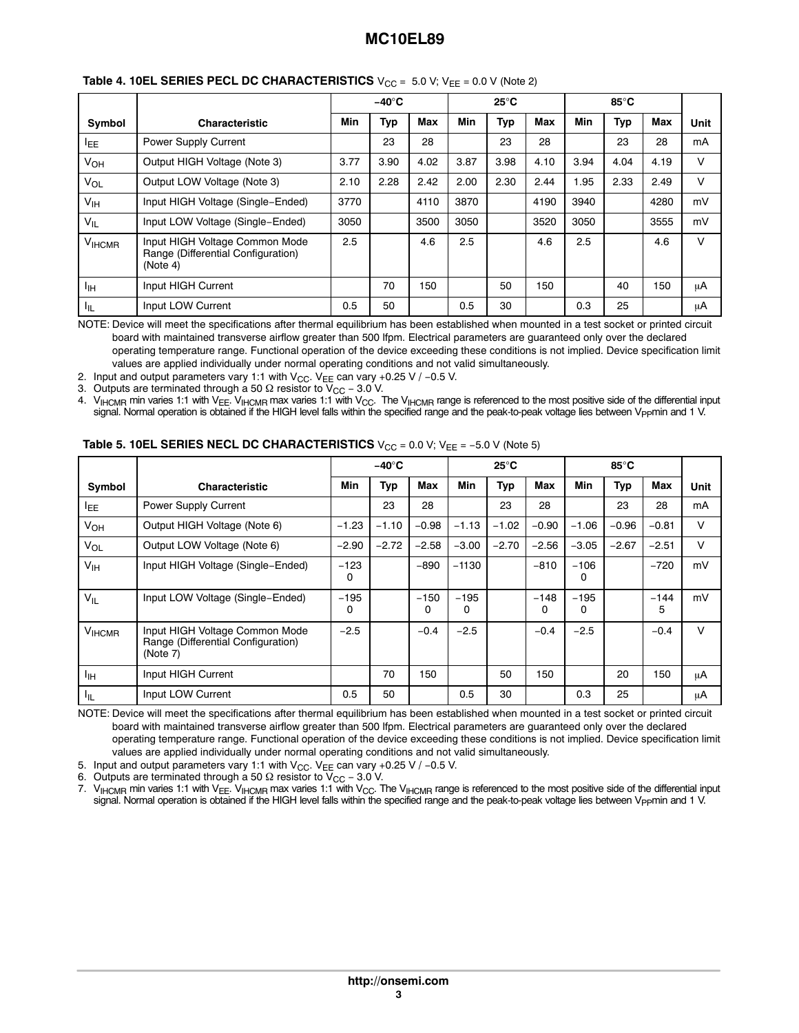|                 |                                                                                  |      | $-40^\circ C$ |            |            | $25^{\circ}$ C |            |      | $85^{\circ}$ C |            |        |
|-----------------|----------------------------------------------------------------------------------|------|---------------|------------|------------|----------------|------------|------|----------------|------------|--------|
| Symbol          | <b>Characteristic</b>                                                            | Min  | Typ           | <b>Max</b> | <b>Min</b> | Typ            | <b>Max</b> | Min  | Typ            | <b>Max</b> | Unit   |
| <b>IEE</b>      | Power Supply Current                                                             |      | 23            | 28         |            | 23             | 28         |      | 23             | 28         | mA     |
| VOH             | Output HIGH Voltage (Note 3)                                                     | 3.77 | 3.90          | 4.02       | 3.87       | 3.98           | 4.10       | 3.94 | 4.04           | 4.19       | v      |
| Vol             | Output LOW Voltage (Note 3)                                                      | 2.10 | 2.28          | 2.42       | 2.00       | 2.30           | 2.44       | 1.95 | 2.33           | 2.49       | v      |
| $V_{\text{IH}}$ | Input HIGH Voltage (Single-Ended)                                                | 3770 |               | 4110       | 3870       |                | 4190       | 3940 |                | 4280       | mV     |
| $V_{IL}$        | Input LOW Voltage (Single-Ended)                                                 | 3050 |               | 3500       | 3050       |                | 3520       | 3050 |                | 3555       | mV     |
| <b>VIHCMR</b>   | Input HIGH Voltage Common Mode<br>Range (Differential Configuration)<br>(Note 4) | 2.5  |               | 4.6        | 2.5        |                | 4.6        | 2.5  |                | 4.6        | $\vee$ |
| ŀщ              | Input HIGH Current                                                               |      | 70            | 150        |            | 50             | 150        |      | 40             | 150        | μA     |
| ŀμ              | Input LOW Current                                                                | 0.5  | 50            |            | 0.5        | 30             |            | 0.3  | 25             |            | μA     |

#### **Table 4. 10EL SERIES PECL DC CHARACTERISTICS**  $V_{CC} = 5.0 V$ ;  $V_{EE} = 0.0 V$  (Note 2)

NOTE: Device will meet the specifications after thermal equilibrium has been established when mounted in a test socket or printed circuit board with maintained transverse airflow greater than 500 lfpm. Electrical parameters are guaranteed only over the declared operating temperature range. Functional operation of the device exceeding these conditions is not implied. Device specification limit values are applied individually under normal operating conditions and not valid simultaneously.

2. Input and output parameters vary 1:1 with V<sub>CC</sub>. V<sub>EE</sub> can vary +0.25 V / -0.5 V.

3. Outputs are terminated through a 50  $\Omega$  resistor to V<sub>CC</sub> – 3.0 V.

4.  $V_{HCMR}$  min varies 1:1 with  $V_{EE}$ .  $V_{HCMR}$  max varies 1:1 with  $V_{CC}$ . The  $V_{HCMR}$  range is referenced to the most positive side of the differential input signal. Normal operation is obtained if the HIGH level falls within the specified range and the peak-to-peak voltage lies between Vppmin and 1 V.

|                 |                                                                                  |             | $-40^\circ C$ |             |             | 25°C    |             |             | $85^{\circ}$ C |             |        |
|-----------------|----------------------------------------------------------------------------------|-------------|---------------|-------------|-------------|---------|-------------|-------------|----------------|-------------|--------|
| Symbol          | <b>Characteristic</b>                                                            | <b>Min</b>  | <b>Typ</b>    | Max         | Min         | Typ     | Max         | <b>Min</b>  | Typ            | Max         | Unit   |
| <sup>I</sup> EE | Power Supply Current                                                             |             | 23            | 28          |             | 23      | 28          |             | 23             | 28          | mA     |
| $V_{OH}$        | Output HIGH Voltage (Note 6)                                                     | $-1.23$     | $-1.10$       | $-0.98$     | $-1.13$     | $-1.02$ | $-0.90$     | $-1.06$     | $-0.96$        | $-0.81$     | $\vee$ |
| $V_{OL}$        | Output LOW Voltage (Note 6)                                                      | $-2.90$     | $-2.72$       | $-2.58$     | $-3.00$     | $-2.70$ | $-2.56$     | $-3.05$     | $-2.67$        | $-2.51$     | $\vee$ |
| V <sub>IH</sub> | Input HIGH Voltage (Single-Ended)                                                | $-123$<br>0 |               | $-890$      | $-1130$     |         | $-810$      | $-106$<br>0 |                | $-720$      | mV     |
| $V_{IL}$        | Input LOW Voltage (Single-Ended)                                                 | $-195$<br>0 |               | $-150$<br>0 | $-195$<br>0 |         | $-148$<br>0 | $-195$<br>0 |                | $-144$<br>5 | mV     |
| <b>VIHCMR</b>   | Input HIGH Voltage Common Mode<br>Range (Differential Configuration)<br>(Note 7) | $-2.5$      |               | $-0.4$      | $-2.5$      |         | $-0.4$      | $-2.5$      |                | $-0.4$      | $\vee$ |
| ЧH              | Input HIGH Current                                                               |             | 70            | 150         |             | 50      | 150         |             | 20             | 150         | μA     |
| ЧL.             | Input LOW Current                                                                | 0.5         | 50            |             | 0.5         | 30      |             | 0.3         | 25             |             | uA     |

#### **Table 5. 10EL SERIES NECL DC CHARACTERISTICS** V<sub>CC</sub> = 0.0 V; V<sub>EE</sub> = −5.0 V (Note 5)

NOTE: Device will meet the specifications after thermal equilibrium has been established when mounted in a test socket or printed circuit board with maintained transverse airflow greater than 500 lfpm. Electrical parameters are guaranteed only over the declared operating temperature range. Functional operation of the device exceeding these conditions is not implied. Device specification limit values are applied individually under normal operating conditions and not valid simultaneously.

5. Input and output parameters vary 1:1 with V<sub>CC</sub>. V<sub>EE</sub> can vary +0.25 V / -0.5 V.

6. Outputs are terminated through a 50  $\Omega$  resistor to V<sub>CC</sub> – 3.0 V.

7.  $V_{HCMR}$  min varies 1:1 with  $V_{EE}$ .  $V_{HCMR}$  max varies 1:1 with  $V_{CC}$ . The  $V_{HCMR}$  range is referenced to the most positive side of the differential input signal. Normal operation is obtained if the HIGH level falls within the specified range and the peak-to-peak voltage lies between V<sub>PP</sub>min and 1 V.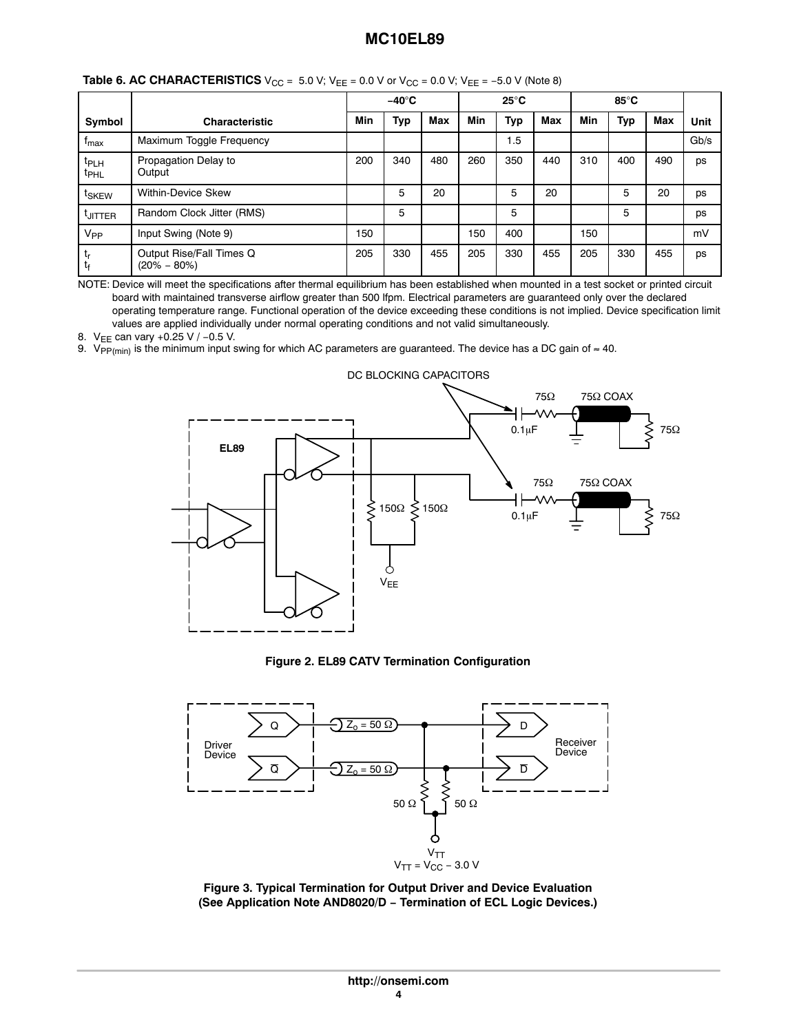|                                      |                                             |     | $-40^\circ C$ |            |            | $25^{\circ}$ C |            |     | $85^{\circ}$ C |            |      |
|--------------------------------------|---------------------------------------------|-----|---------------|------------|------------|----------------|------------|-----|----------------|------------|------|
| Symbol                               | <b>Characteristic</b>                       | Min | <b>Typ</b>    | <b>Max</b> | <b>Min</b> | <b>Typ</b>     | <b>Max</b> | Min | Typ            | <b>Max</b> | Unit |
| <sup>I</sup> max                     | Maximum Toggle Frequency                    |     |               |            |            | 1.5            |            |     |                |            | Gb/s |
| t <sub>PLH</sub><br><sup>t</sup> PHL | Propagation Delay to<br>Output              | 200 | 340           | 480        | 260        | 350            | 440        | 310 | 400            | 490        | ps   |
| t <sub>SKEW</sub>                    | <b>Within-Device Skew</b>                   |     | 5             | 20         |            | 5              | 20         |     | 5              | 20         | ps   |
| <b>LUTTER</b>                        | Random Clock Jitter (RMS)                   |     | 5             |            |            | 5              |            |     | 5              |            | ps   |
| V <sub>PP</sub>                      | Input Swing (Note 9)                        | 150 |               |            | 150        | 400            |            | 150 |                |            | mV   |
| ւ<br>t <sub>f</sub>                  | Output Rise/Fall Times Q<br>$(20\% - 80\%)$ | 205 | 330           | 455        | 205        | 330            | 455        | 205 | 330            | 455        | ps   |

**Table 6. AC CHARACTERISTICS**  $V_{CC} = 5.0 V$ ;  $V_{EE} = 0.0 V$  or  $V_{CC} = 0.0 V$ ;  $V_{EE} = -5.0 V$  (Note 8)

NOTE: Device will meet the specifications after thermal equilibrium has been established when mounted in a test socket or printed circuit board with maintained transverse airflow greater than 500 lfpm. Electrical parameters are guaranteed only over the declared operating temperature range. Functional operation of the device exceeding these conditions is not implied. Device specification limit values are applied individually under normal operating conditions and not valid simultaneously.

8. V<sub>EE</sub> can vary +0.25 V / -0.5 V.

9. V<sub>PP(min)</sub> is the minimum input swing for which AC parameters are guaranteed. The device has a DC gain of ≈ 40.



DC BLOCKING CAPACITORS

#### **Figure 2. EL89 CATV Termination Configuration**



**Figure 3. Typical Termination for Output Driver and Device Evaluation (See Application Note AND8020/D − Termination of ECL Logic Devices.)**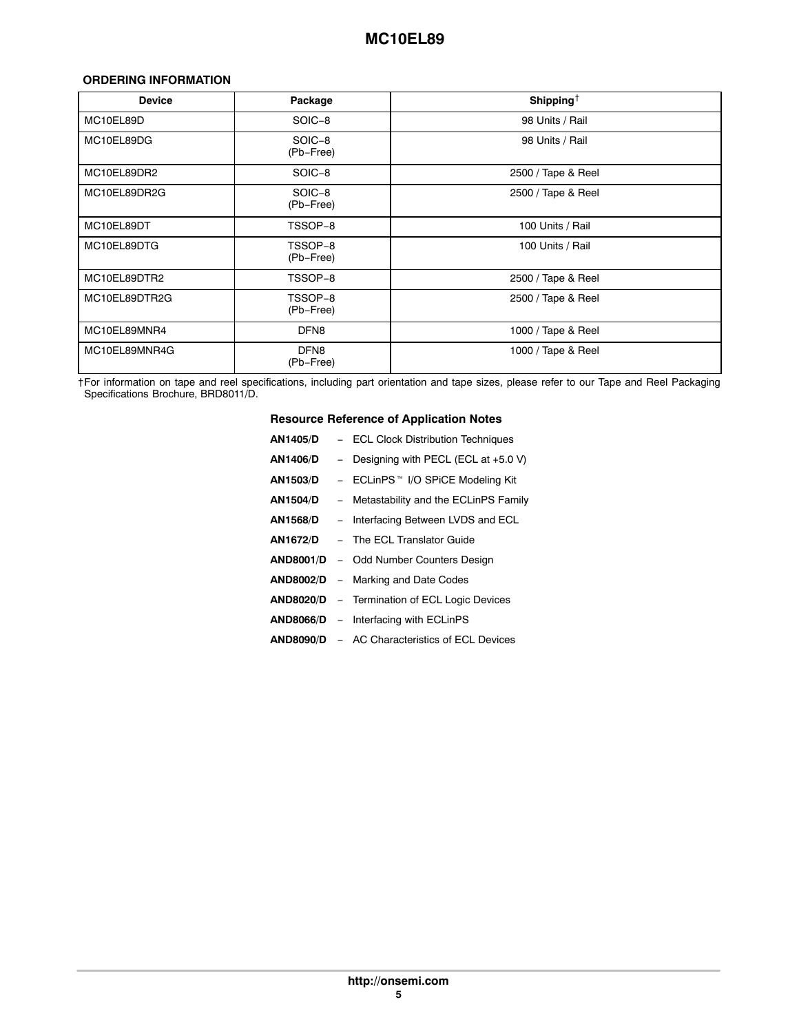## <span id="page-5-0"></span>**ORDERING INFORMATION**

| <b>Device</b> | Package              | Shipping <sup><math>\dagger</math></sup> |
|---------------|----------------------|------------------------------------------|
| MC10EL89D     | SOIC-8               | 98 Units / Rail                          |
| MC10EL89DG    | SOIC-8<br>(Pb-Free)  | 98 Units / Rail                          |
| MC10EL89DR2   | SOIC-8               | 2500 / Tape & Reel                       |
| MC10EL89DR2G  | SOIC-8<br>(Pb-Free)  | 2500 / Tape & Reel                       |
| MC10EL89DT    | TSSOP-8              | 100 Units / Rail                         |
| MC10EL89DTG   | TSSOP-8<br>(Pb-Free) | 100 Units / Rail                         |
| MC10EL89DTR2  | TSSOP-8              | 2500 / Tape & Reel                       |
| MC10EL89DTR2G | TSSOP-8<br>(Pb-Free) | 2500 / Tape & Reel                       |
| MC10EL89MNR4  | DFN <sub>8</sub>     | 1000 / Tape & Reel                       |
| MC10EL89MNR4G | DFN8<br>(Pb-Free)    | 1000 / Tape & Reel                       |

†For information on tape and reel specifications, including part orientation and tape sizes, please refer to our Tape and Reel Packaging Specifications Brochure, BRD8011/D.

## **Resource Reference of Application Notes**

| <b>AN1405/D</b>  | - ECL Clock Distribution Techniques                  |
|------------------|------------------------------------------------------|
| AN1406/D         | - Designing with PECL (ECL at $+5.0$ V)              |
| <b>AN1503/D</b>  | - ECLinPS <sup>™</sup> I/O SPiCE Modeling Kit        |
| <b>AN1504/D</b>  | - Metastability and the ECLinPS Family               |
| AN1568/D         | - Interfacing Between LVDS and ECL                   |
| AN1672/D         | - The ECL Translator Guide                           |
| <b>AND8001/D</b> | - Odd Number Counters Design                         |
| <b>AND8002/D</b> | - Marking and Date Codes                             |
| <b>AND8020/D</b> | - Termination of ECL Logic Devices                   |
| <b>AND8066/D</b> | - Interfacing with ECLinPS                           |
|                  | <b>AND8090/D</b> – AC Characteristics of ECL Devices |
|                  |                                                      |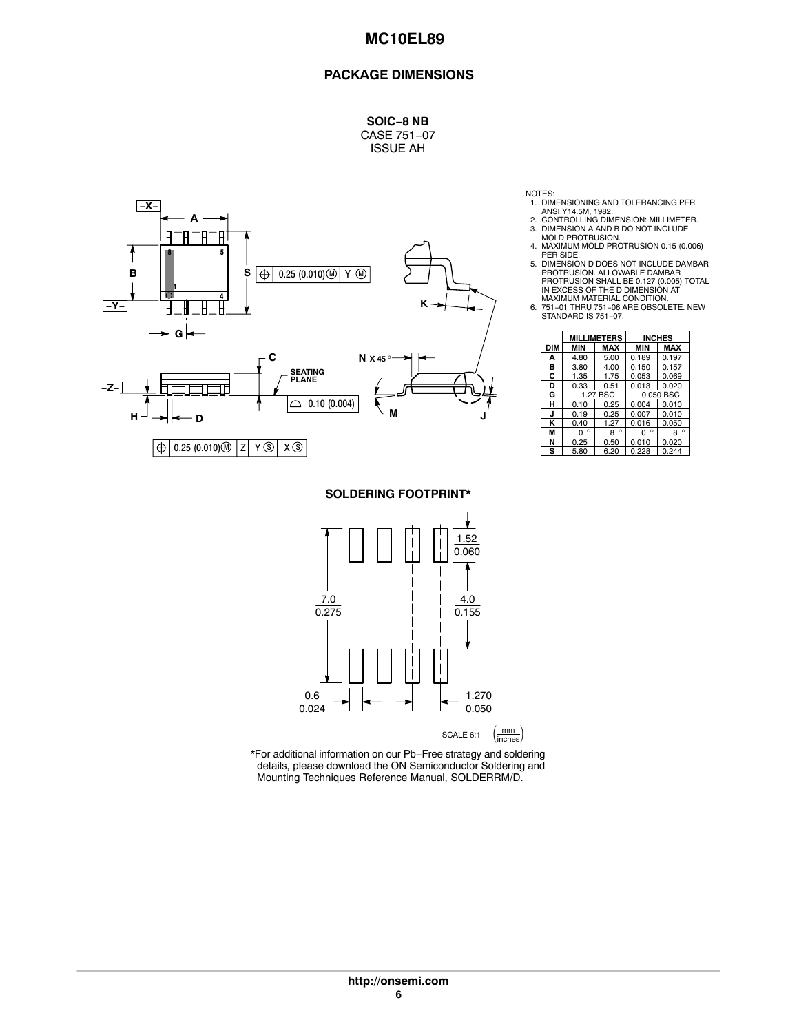#### **PACKAGE DIMENSIONS**

**SOIC−8 NB** CASE 751−07

ISSUE AH



**SOLDERING FOOTPRINT\***



\*For additional information on our Pb−Free strategy and soldering details, please download the ON Semiconductor Soldering and Mounting Techniques Reference Manual, SOLDERRM/D.

- 1. DIMENSIONING AND TOLERANCING PER ANSI Y14.5M, 1982.
- 
- 2. CONTROLLING DIMENSION: MILLIMETER. 3. DIMENSION A AND B DO NOT INCLUDE MOLD PROTRUSION. 4. MAXIMUM MOLD PROTRUSION 0.15 (0.006)
- PER SIDE.
- 5. DIMENSION D DOES NOT INCLUDE DAMBAR PROTRUSION. ALLOWABLE DAMBAR PROTRUSION SHALL BE 0.127 (0.005) TOTAL IN EXCESS OF THE D DIMENSION AT
- MAXIMUM MATERIAL CONDITION. 6. 751−01 THRU 751−06 ARE OBSOLETE. NEW STANDARD IS 751−07.

|            |            | <b>MILLIMETERS</b> |              | <b>INCHES</b> |  |
|------------|------------|--------------------|--------------|---------------|--|
| <b>DIM</b> | <b>MIN</b> | <b>MAX</b>         | <b>MIN</b>   | <b>MAX</b>    |  |
| А          | 4.80       | 5.00               | 0.189        | 0.197         |  |
| в          | 3.80       | 4.00               | 0.150        | 0.157         |  |
| С          | 1.35       | 1.75               | 0.053        | 0.069         |  |
| D          | 0.33       | 0.51               | 0.013        | 0.020         |  |
| G          |            | 1.27 BSC           | 0.050 BSC    |               |  |
| н          | 0.10       | 0.25               | 0.004        | 0.010         |  |
| J          | 0.19       | 0.25               | 0.007        | 0.010         |  |
| κ          | 0.40       | 1.27               | 0.016        | 0.050         |  |
| M          | ٥<br>n     | $\circ$<br>R       | $\circ$<br>n | ٥<br>8        |  |
| N          | 0.25       | 0.50               | 0.010        | 0.020         |  |
| s          | 5.80       | 6.20               | 0.228        | 0.244         |  |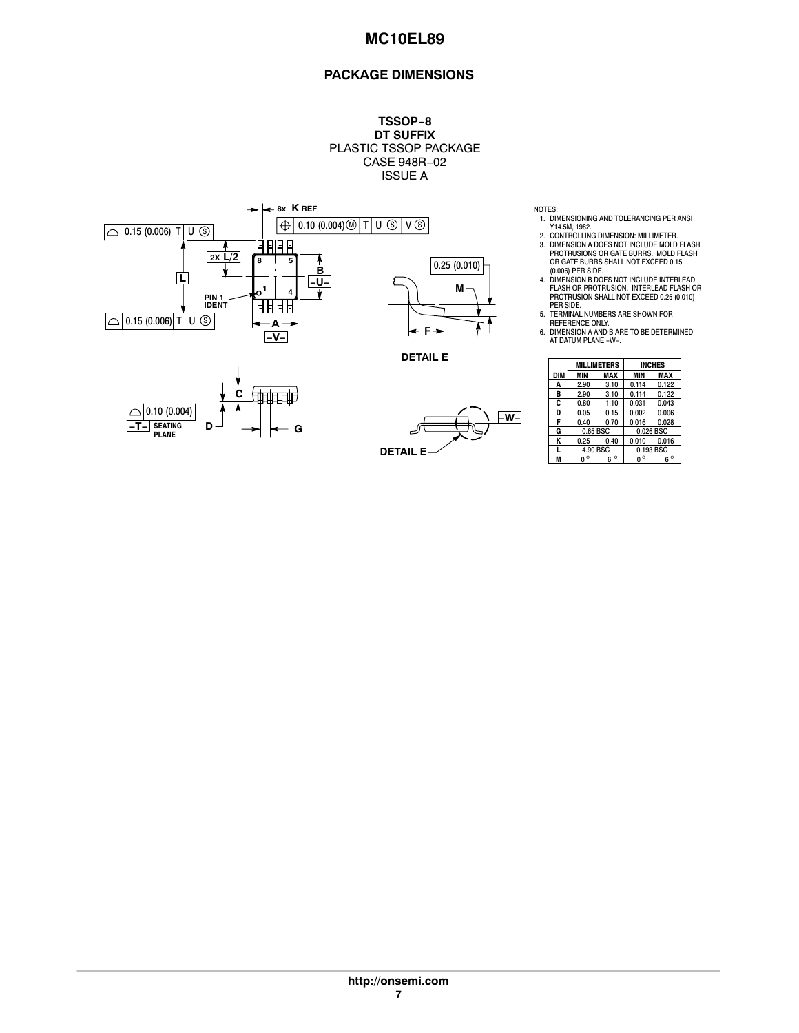## **PACKAGE DIMENSIONS**

**TSSOP−8 DT SUFFIX** PLASTIC TSSOP PACKAGE CASE 948R−02 ISSUE A



- NOTES: 1. DIMENSIONING AND TOLERANCING PER ANSI Y14.5M, 1982. 2. CONTROLLING DIMENSION: MILLIMETER.
- 3. DIMENSION A DOES NOT INCLUDE MOLD FLASH. PROTRUSIONS OR GATE BURRS. MOLD FLASH OR GATE BURRS SHALL NOT EXCEED 0.15
- (0.006) PER SIDE.<br>4. DIMENSION B DOES NOT INCLUDE INTERLEAD<br>FLASH OR PROTRUSION. INTERLEAD FLASH OR<br>PROTRUSION SHALL NOT EXCEED 0.25 (0.010)<br>BER SIDE.<br>5. TERMINAL NUMBERS ARE SHOWN FOR
- 
- REFERENCE ONLY. 6. DIMENSION A AND B ARE TO BE DETERMINED AT DATUM PLANE −W−.

|     |          | <b>MILLIMETERS</b> |            | <b>INCHES</b> |
|-----|----------|--------------------|------------|---------------|
| DIM | MIN      | <b>MAX</b>         | <b>MIN</b> | MAX           |
| A   | 2.90     | 3.10               | 0.114      | 0.122         |
| в   | 2.90     | 3.10               | 0.114      | 0.122         |
| C   | 0.80     | 1.10               | 0.031      | 0.043         |
| D   | 0.05     | 0.15               | 0.002      | 0.006         |
| F   | 0.40     | 0.70               | 0.016      | 0.028         |
| G   | 0.65 BSC |                    |            | 0.026 BSC     |
| Κ   | 0.25     | 0.40               | 0.010      | 0.016         |
| L   |          | 4.90 BSC           |            | 0.193 BSC     |
| M   | n        | $\circ$<br>հ       |            | $6^{\circ}$   |